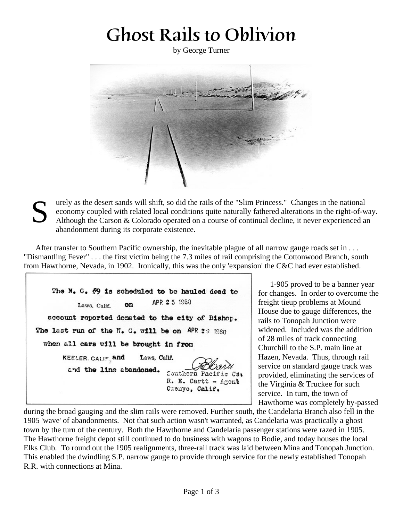## Ghost Rails to Oblivion

by George Turner



S urely as the desert sands will shift, so did the rails of the "Slim Princess." Changes in the national economy coupled with related local conditions quite naturally fathered alterations in the right-of-way. Although the Carson & Colorado operated on a course of continual decline, it never experienced an abandonment during its corporate existence.

After transfer to Southern Pacific ownership, the inevitable plague of all narrow gauge roads set in . . . "Dismantling Fever" . . . the first victim being the 7.3 miles of rail comprising the Cottonwood Branch, south from Hawthorne, Nevada, in 1902. Ironically, this was the only 'expansion' the C&C had ever established.

The N. G. #9 is scheduled to be hauled dead to APR 25 1960 Laws, Calif. on account reported donated to the city of Bishop. The last run of the N. G. will be on APR 28 1860 when all cars will be brought in from KEELER. CALIF. and Laws, Calif. and the line abendoned. Southern Pacific  $C3<sub>3</sub>$ R. E. Cartt - Agent Cxenyo, Calif.

1-905 proved to be a banner year for changes. In order to overcome the freight tieup problems at Mound House due to gauge differences, the rails to Tonopah Junction were widened. Included was the addition of 28 miles of track connecting Churchill to the S.P. main line at Hazen, Nevada. Thus, through rail service on standard gauge track was provided, eliminating the services of the Virginia & Truckee for such service. In turn, the town of Hawthorne was completely by-passed

during the broad gauging and the slim rails were removed. Further south, the Candelaria Branch also fell in the 1905 'wave' of abandonments. Not that such action wasn't warranted, as Candelaria was practically a ghost town by the turn of the century. Both the Hawthorne and Candelaria passenger stations were razed in 1905. The Hawthorne freight depot still continued to do business with wagons to Bodie, and today houses the local Elks Club. To round out the 1905 realignments, three-rail track was laid between Mina and Tonopah Junction. This enabled the dwindling S.P. narrow gauge to provide through service for the newly established Tonopah R.R. with connections at Mina.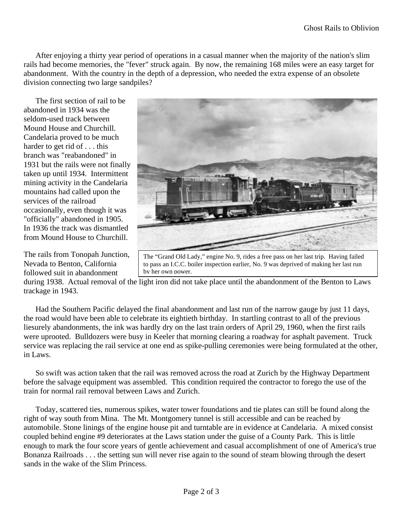After enjoying a thirty year period of operations in a casual manner when the majority of the nation's slim rails had become memories, the "fever" struck again. By now, the remaining 168 miles were an easy target for abandonment. With the country in the depth of a depression, who needed the extra expense of an obsolete division connecting two large sandpiles?

The first section of rail to be abandoned in 1934 was the seldom-used track between Mound House and Churchill. Candelaria proved to be much harder to get rid of . . . this branch was "reabandoned" in 1931 but the rails were not finally taken up until 1934. Intermittent mining activity in the Candelaria mountains had called upon the services of the railroad occasionally, even though it was "officially" abandoned in 1905. In 1936 the track was dismantled from Mound House to Churchill.

The rails from Tonopah Junction, Nevada to Benton, California followed suit in abandonment



The "Grand Old Lady," engine No. 9, rides a free pass on her last trip. Having failed to pass an I.C.C. boiler inspection earlier, No. 9 was deprived of making her last run by her own power.

during 1938. Actual removal of the light iron did not take place until the abandonment of the Benton to Laws trackage in 1943.

Had the Southern Pacific delayed the final abandonment and last run of the narrow gauge by just 11 days, the road would have been able to celebrate its eightieth birthday. In startling contrast to all of the previous liesurely abandonments, the ink was hardly dry on the last train orders of April 29, 1960, when the first rails were uprooted. Bulldozers were busy in Keeler that morning clearing a roadway for asphalt pavement. Truck service was replacing the rail service at one end as spike-pulling ceremonies were being formulated at the other, in Laws.

So swift was action taken that the rail was removed across the road at Zurich by the Highway Department before the salvage equipment was assembled. This condition required the contractor to forego the use of the train for normal rail removal between Laws and Zurich.

Today, scattered ties, numerous spikes, water tower foundations and tie plates can still be found along the right of way south from Mina. The Mt. Montgomery tunnel is still accessible and can be reached by automobile. Stone linings of the engine house pit and turntable are in evidence at Candelaria. A mixed consist coupled behind engine #9 deteriorates at the Laws station under the guise of a County Park. This is little enough to mark the four score years of gentle achievement and casual accomplishment of one of America's true Bonanza Railroads . . . the setting sun will never rise again to the sound of steam blowing through the desert sands in the wake of the Slim Princess.